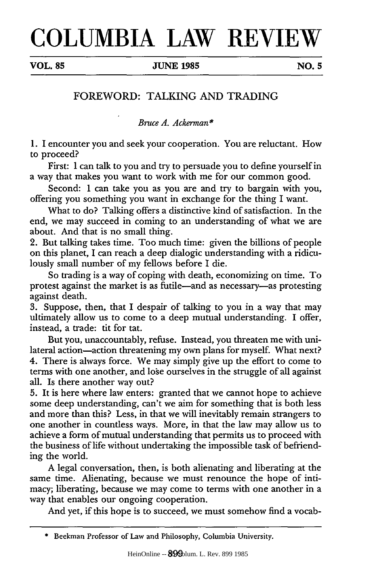## **COLUMBIA LAW REVIEW**

VOL. **85 JUNE 1985 NO. 5**

## FOREWORD: TALKING AND TRADING

*Bruce A. Ackerman\**

1. I encounter you and seek your cooperation. You are reluctant. How to proceed?

First: I can talk to you and try to persuade you to define yourself in a way that makes you want to work with me for our common good.

Second: I can take you as you are and try to bargain with you, offering you something you want in exchange for the thing I want.

What to do? Talking offers a distinctive kind of satisfaction. In the end, we may succeed in coming to an understanding of what we are about. And that is no small thing.

2. But talking takes time. Too much time: given the billions of people on this planet, I can reach a deep dialogic understanding with a ridiculously small number of my fellows before I die.

So trading is a way of coping with death, economizing on time. To protest against the market is as futile-and as necessary-as protesting against death.

3. Suppose, then, that I despair of talking to you in a way that may ultimately allow us to come to a deep mutual understanding. I offer, instead, a trade: tit for tat.

But you, unaccountably, refuse. Instead, you threaten me with unilateral action-action threatening my own plans for myself. What next? 4. There is always force. We may simply give up the effort to come to terms with one another, and lose ourselves in the struggle of all against all. Is there another way out?

5. It is here where law enters: granted that we cannot hope to achieve some deep understanding, can't we aim for something that is both less and more than this? Less, in that we will inevitably remain strangers to one another in countless ways. More, in that the law may allow us to achieve a form of mutual understanding that permits us to proceed with the business of life without undertaking the impossible task of befriending the world.

A legal conversation, then, is both alienating and liberating at the same time. Alienating, because we must renounce the hope of intimacy; liberating, because we may come to terms with one another in a way that enables our ongoing cooperation.

And yet, if this hope is to succeed, we must somehow find a vocab-

**<sup>\*</sup>** Beekman Professor of Law and Philosophy, Columbia University.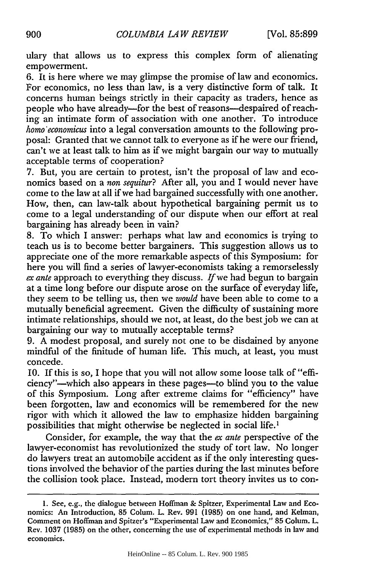ulary that allows us to express this complex form of alienating empowerment.

6. It is here where we may glimpse the promise of law and economics. For economics, no less than law, is a very distinctive form of talk. It concerns human beings strictly in their capacity as traders, hence as people who have already-for the best of reasons-despaired of reaching an intimate form of association with one another. To introduce *homo'economicus* into a legal conversation amounts to the following proposal: Granted that we cannot talk to everyone as if he were our friend, can't we at least talk to him as if we might bargain our way to mutually acceptable terms of cooperation?

7. But, you are certain to protest, isn't the proposal of law and economics based on a *non sequitur?* After all, you and I would never have come to the law at all if we had bargained successfully with one another. How, then, can law-talk about hypothetical bargaining permit us to come to a legal understanding of our dispute when our effort at real bargaining has already been in vain?

8. To which I answer: perhaps what law and economics is trying to teach us is to become better bargainers. This suggestion allows us to appreciate one of the more remarkable aspects of this Symposium: for here you will find a series of lawyer-economists taking a remorselessly *ex ante* approach to everything they discuss. If we had begun to bargain at a time long before our dispute arose on the surface of everyday life, they seem to be telling us, then we *would* have been able to come to a mutually beneficial agreement. Given the difficulty of sustaining more intimate relationships, should we not, at least, do the best job we can at bargaining our way to mutually acceptable terms?

9. A modest proposal, and surely not one to be disdained by anyone mindful of the finitude of human life. This much, at least, you must concede.

10. If this is so, I hope that you will not allow some loose talk of "efficiency"—which also appears in these pages—to blind you to the value of this Symposium. Long after extreme claims for "efficiency" have been forgotten, law and economics will be remembered for the new rigor with which it allowed the law to emphasize hidden bargaining possibilities that might otherwise be neglected in social life.'

Consider, for example, the way that the *ex ante* perspective of the lawyer-economist has revolutionized the study of tort law. No longer do lawyers treat an automobile accident as if the only interesting questions involved the behavior of the parties during the last minutes before the collision took place. Instead, modern tort theory invites us to con-

<sup>1.</sup> See, e.g., the dialogue between Hoffman & Spitzer, Experimental Law and Economics: An Introduction, 85 Colum. L. Rev. 991 (1985) on one hand, and Kelman, Comment on Hoffman and Spitzer's "Experimental Law and Economics," 85 Colum. L. Rev. 1037 (1985) on the other, concerning the use of experimental methods in law and economics.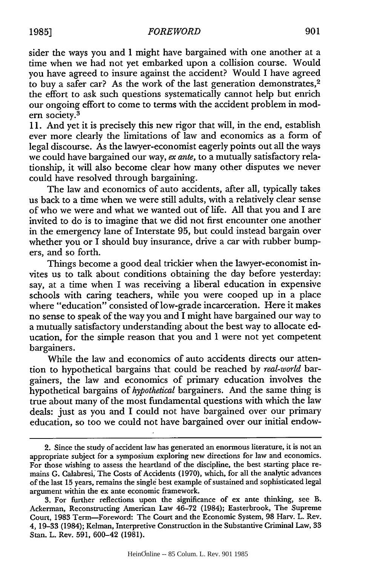sider the ways you and I might have bargained with one another at a time when we had not yet embarked upon a collision course. Would you have agreed to insure against the accident? Would I have agreed to buy a safer car? As the work of the last generation demonstrates,<sup>2</sup> the effort to ask such questions systematically cannot help but enrich our ongoing effort to come to terms with the accident problem in modem society.<sup>3</sup>

**11.** And yet it is precisely this new rigor that will, in the end, establish ever more clearly the limitations of law and economics as a form of legal discourse. As the lawyer-economist eagerly points out all the ways we could have bargained our way, *ex ante,* to a mutually satisfactory relationship, it will also become clear how many other disputes we never could have resolved through bargaining.

The law and economics of auto accidents, after all, typically takes us back to a time when we were still adults, with a relatively clear sense of who we were and what we wanted out of life. All that you and I are invited to do is to imagine that we did not first encounter one another in the emergency lane of Interstate 95, but could instead bargain over whether you or I should buy insurance, drive a car with rubber bumpers, and so forth.

Things become a good deal trickier when the lawyer-economist invites us to talk about conditions obtaining the day before yesterday: say, at a time when I was receiving a liberal education in expensive schools with caring teachers, while you were cooped up in a place where "education" consisted of low-grade incarceration. Here it makes no sense to speak of the way you and I might have bargained our way to a mutually satisfactory understanding about the best way to allocate education, for the simple reason that you and I were not yet competent bargainers.

While the law and economics of auto accidents directs our attention to hypothetical bargains that could be reached by *real-world* bargainers, the law and economics of primary education involves the hypothetical bargains of *hypothetical* bargainers. And the same thing is true about many of the most fundamental questions with which the law deals: just as you and I could not have bargained over our primary education, so too we could not have bargained over our initial endow-

<sup>2.</sup> Since the study of accident law has generated an enormous literature, it is not an appropriate subject for a symposium exploring new directions for law and economics. For those wishing to assess the heartland of the discipline, the best starting place remains G. Calabresi, The Costs of Accidents (1970), which, for all the analytic advances of the last **15** years, remains the single best example of sustained and sophisticated legal argument within the ex ante economic framework.

<sup>3.</sup> For further reflections upon the significance of ex ante thinking, see B. Ackerman, Reconstructing American Law 46-72 (1984); Easterbrook, The Supreme Court, 1983 Term-Foreword: The Court and the Economic System, 98 Harv. L. Rev. 4, 19-33 (1984); Kelman, Interpretive Construction in the Substantive Criminal Law, 33 Stan. L. Rev. 591, 600-42 (1981).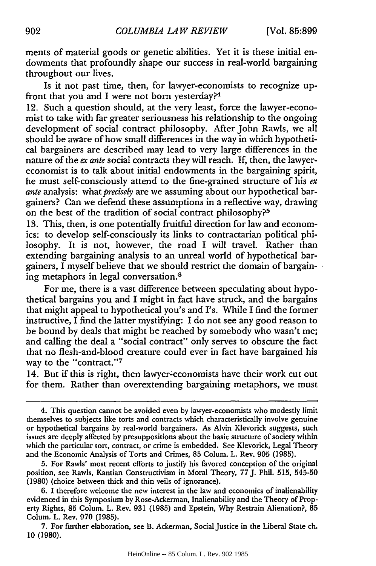ments of material goods or genetic abilities. Yet it is these initial endowments that profoundly shape our success in real-world bargaining throughout our lives.

Is it not past time, then, for lawyer-economists to recognize upfront that you and I were not born yesterday?<sup>4</sup>

12. Such a question should, at the very least, force the lawyer-economist to take with far greater seriousness his relationship to the ongoing development of social contract philosophy. After John Rawls, we all should be aware of how small differences in the way in which hypothetical bargainers are described may lead to very large differences in the nature of the ex *ante* social contracts they will reach. If, then, the lawyereconomist is to talk about initial endowments in the bargaining spirit, he must self-consciously attend to the fine-grained structure of his *ex ante* analysis: what *precisely* are we assuming about our hypothetical bargainers? Can we defend these assumptions in a reflective way, drawing on the best of the tradition of social contract philosophy?<sup>5</sup>

13. This, then, is one potentially fruitful direction for law and economics: to develop self-consciously its links to contractarian political philosophy. It is not, however, the road I will travel. Rather than extending bargaining analysis to an unreal world of hypothetical bargainers, I myself believe that we should restrict the domain of bargaining metaphors in legal conversation. <sup>6</sup>

For me, there is a vast difference between speculating about hypothetical bargains you and I might in fact have struck, and the bargains that might appeal to hypothetical you's and I's. While I find the former instructive, I find the latter mystifying: I do not see any good reason to be bound by deals that might be reached by somebody who wasn't me; and calling the deal a "social contract" only serves to obscure the fact that no flesh-and-blood creature could ever in fact have bargained his way to the "contract."7

14. But if this is right, then lawyer-economists have their work cut out for them. Rather than overextending bargaining metaphors, we must

<sup>4.</sup> This question cannot be avoided even by lawyer-economists who modestly limit themselves to subjects like torts and contracts which characteristically involve genuine or hypothetical bargains by real-world bargainers. As Alvin Klevorick suggests, such issues are deeply affected by presuppositions about the basic structure of society within which the particular tort, contract, or crime is embedded. See Klevorick, Legal Theory and the Economic Analysis of Torts and Crimes, 85 Colum. L. Rev. **905** (1985).

<sup>5.</sup> For Rawls' most recent efforts to justify his favored conception of the original position, see Rawls, Kantian Constructivism in Moral Theory, 77 J. Phil. 515, 545-50 (1980) (choice between thick and thin veils of ignorance).

<sup>6.</sup> I therefore welcome the new interest in the law and economics of inalienability evidenced in this Symposium by Rose-Ackerman, Inalienability and the Theory of Property Rights, 85 Colum. L. Rev. 931 (1985) and Epstein, Why Restrain Alienation?, 85 Colum. L. Rev. 970 (1985).

<sup>7.</sup> For further elaboration, see B. Ackerman, Social Justice in the Liberal State ch. **10** (1980).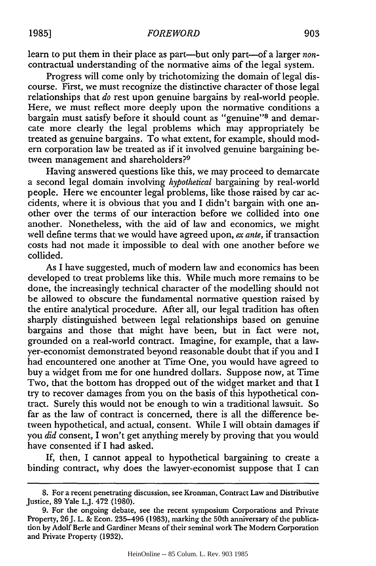**1985]**

learn to put them in their place as part—but only part—of a larger *non*contractual understanding of the normative aims of the legal system.

Progress will come only by trichotomizing the domain of legal discourse. First, we must recognize the distinctive character of those legal relationships that *do* rest upon genuine bargains by-real-world people. Here, we must reflect more deeply upon the normative conditions a bargain must satisfy before it should count as "genuine"<sup>8</sup> and demarcate more clearly the legal problems which may appropriately be treated as genuine bargains. To what extent, for example, should modem corporation law be treated as if it involved genuine bargaining between management and shareholders?<sup>9</sup>

Having answered questions like this, we may proceed to demarcate a second legal domain involving *hypothetical* bargaining by real-world people. Here we encounter legal problems, like those raised by car accidents, where it is obvious that you and I didn't bargain with one another over the terms of our interaction before we collided into one another. Nonetheless, with the aid of law and economics, we might well define terms that we would have agreed upon, ex *ante,* if transaction costs had not made it impossible to deal with one another before we collided.

As I have suggested, much of modern law and economics has been developed to treat problems like this. While much more remains to be done, the increasingly technical character of the modelling should not be allowed to obscure the fundamental normative question raised by the entire analytical procedure. After all, our legal tradition has often sharply distinguished between legal relationships based on genuine bargains and those that might have been, but in fact were not, grounded on a real-world contract. Imagine, for example, that a lawyer-economist demonstrated beyond reasonable doubt that if you and I had encountered one another at Time One, you would have agreed to buy a widget from me for one hundred dollars. Suppose now, at Time Two, that the bottom has dropped out of the widget market and that I try to recover damages from you on the basis of this hypothetical contract. Surely this would not be enough to win a traditional lawsuit. So far as the law of contract is concerned, there is all the difference between hypothetical, and actual, consent. While I will obtain damages if you *did* consent, I won't get anything merely by proving that you would have consented if I had asked.

If, then, I cannot appeal to hypothetical bargaining to create a binding contract, why does the lawyer-economist suppose that I can

**<sup>8.</sup>** For a recent penetrating discussion, see Kronman, Contract Law and Distributive Justice, 89 Yale L.J. 472 (1980).

<sup>9.</sup> For the ongoing debate, see the recent symposium Corporations and Private Property, 26J. L. & Econ. 235-496 (1983), marking the 50th anniversary of the publication by Adolf Berle and Gardiner Means of their seminal work The Modem Corporation and Private Property (1932).